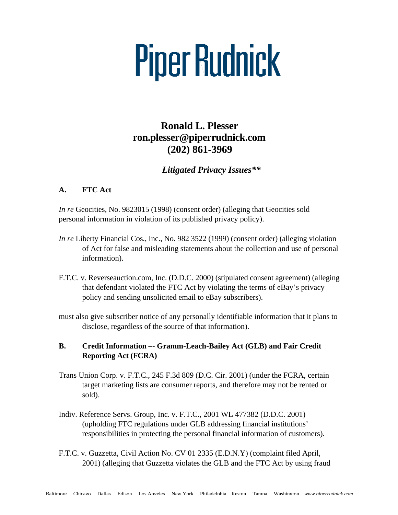# **Piper Rudnick**

# **Ronald L. Plesser ron.plesser@piperrudnick.com (202) 861-3969**

*Litigated Privacy Issues\*\**

## **A. FTC Act**

*In re* Geocities, No. 9823015 (1998) (consent order) (alleging that Geocities sold personal information in violation of its published privacy policy).

- *In re* Liberty Financial Cos., Inc., No. 982 3522 (1999) (consent order) (alleging violation of Act for false and misleading statements about the collection and use of personal information).
- F.T.C. v. Reverseauction.com, Inc. (D.D.C. 2000) (stipulated consent agreement) (alleging that defendant violated the FTC Act by violating the terms of eBay's privacy policy and sending unsolicited email to eBay subscribers).
- must also give subscriber notice of any personally identifiable information that it plans to disclose, regardless of the source of that information).

### **B. Credit Information –- Gramm-Leach-Bailey Act (GLB) and Fair Credit Reporting Act (FCRA)**

- Trans Union Corp. v. F.T.C., 245 F.3d 809 (D.C. Cir. 2001) (under the FCRA, certain target marketing lists are consumer reports, and therefore may not be rented or sold).
- Indiv. Reference Servs. Group, Inc. v. F.T.C., 2001 WL 477382 (D.D.C. 2001) (upholding FTC regulations under GLB addressing financial institutions' responsibilities in protecting the personal financial information of customers).
- F.T.C. v. Guzzetta, Civil Action No. CV 01 2335 (E.D.N.Y) (complaint filed April, 2001) (alleging that Guzzetta violates the GLB and the FTC Act by using fraud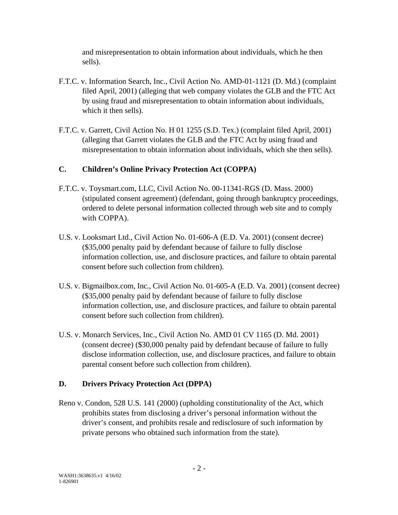and misrepresentation to obtain information about individuals, which he then sells).

- F.T.C. v. Information Search, Inc., Civil Action No. AMD-01-1121 (D. Md.) (complaint filed April, 2001) (alleging that web company violates the GLB and the FTC Act by using fraud and misrepresentation to obtain information about individuals, which it then sells).
- F.T.C. v. Garrett, Civil Action No. H 01 1255 (S.D. Tex.) (complaint filed April, 2001) (alleging that Garrett violates the GLB and the FTC Act by using fraud and misrepresentation to obtain information about individuals, which she then sells).

### **C. Children's Online Privacy Protection Act (COPPA)**

- F.T.C. v. Toysmart.com, LLC, Civil Action No. 00-11341-RGS (D. Mass. 2000) (stipulated consent agreement) (defendant, going through bankruptcy proceedings, ordered to delete personal information collected through web site and to comply with COPPA).
- U.S. v. Looksmart Ltd., Civil Action No. 01-606-A (E.D. Va. 2001) (consent decree) (\$35,000 penalty paid by defendant because of failure to fully disclose information collection, use, and disclosure practices, and failure to obtain parental consent before such collection from children).
- U.S. v. Bigmailbox.com, Inc., Civil Action No. 01-605-A (E.D. Va. 2001) (consent decree) (\$35,000 penalty paid by defendant because of failure to fully disclose information collection, use, and disclosure practices, and failure to obtain parental consent before such collection from children).
- U.S. v. Monarch Services, Inc., Civil Action No. AMD 01 CV 1165 (D. Md. 2001) (consent decree) (\$30,000 penalty paid by defendant because of failure to fully disclose information collection, use, and disclosure practices, and failure to obtain parental consent before such collection from children).

### **D. Drivers Privacy Protection Act (DPPA)**

Reno v. Condon, 528 U.S. 141 (2000) (upholding constitutionality of the Act, which prohibits states from disclosing a driver's personal information without the driver's consent, and prohibits resale and redisclosure of such information by private persons who obtained such information from the state).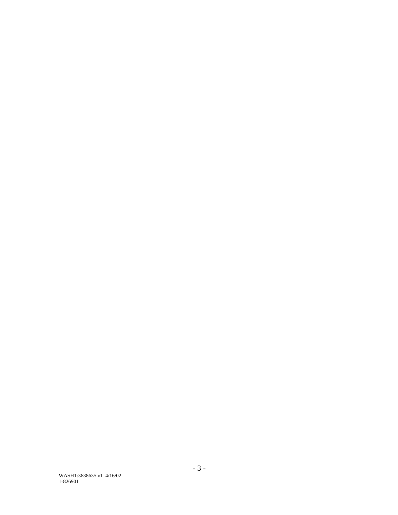WASH1:3638635.v1 4/16/02 1-826901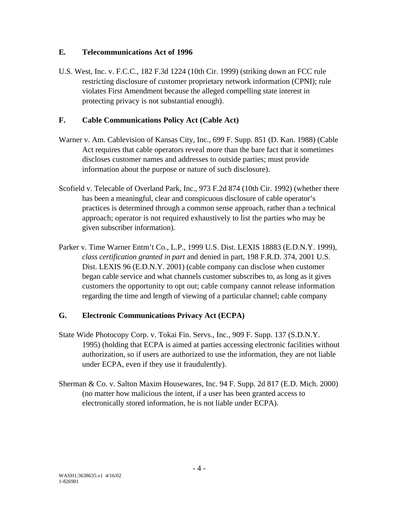#### **E. Telecommunications Act of 1996**

U.S. West, Inc. v. F.C.C., 182 F.3d 1224 (10th Cir. 1999) (striking down an FCC rule restricting disclosure of customer proprietary network information (CPNI); rule violates First Amendment because the alleged compelling state interest in protecting privacy is not substantial enough).

### **F. Cable Communications Policy Act (Cable Act)**

- Warner v. Am. Cablevision of Kansas City, Inc., 699 F. Supp. 851 (D. Kan. 1988) (Cable Act requires that cable operators reveal more than the bare fact that it sometimes discloses customer names and addresses to outside parties; must provide information about the purpose or nature of such disclosure).
- Scofield v. Telecable of Overland Park, Inc., 973 F.2d 874 (10th Cir. 1992) (whether there has been a meaningful, clear and conspicuous disclosure of cable operator's practices is determined through a common sense approach, rather than a technical approach; operator is not required exhaustively to list the parties who may be given subscriber information).
- Parker v. Time Warner Entm't Co., L.P., 1999 U.S. Dist. LEXIS 18883 (E.D.N.Y. 1999), *class certification granted in part* and denied in part, 198 F.R.D. 374, 2001 U.S. Dist. LEXIS 96 (E.D.N.Y. 2001) (cable company can disclose when customer began cable service and what channels customer subscribes to, as long as it gives customers the opportunity to opt out; cable company cannot release information regarding the time and length of viewing of a particular channel; cable company

### **G. Electronic Communications Privacy Act (ECPA)**

- State Wide Photocopy Corp. v. Tokai Fin. Servs., Inc., 909 F. Supp. 137 (S.D.N.Y. 1995) (holding that ECPA is aimed at parties accessing electronic facilities without authorization, so if users are authorized to use the information, they are not liable under ECPA, even if they use it fraudulently).
- Sherman & Co. v. Salton Maxim Housewares, Inc. 94 F. Supp. 2d 817 (E.D. Mich. 2000) (no matter how malicious the intent, if a user has been granted access to electronically stored information, he is not liable under ECPA).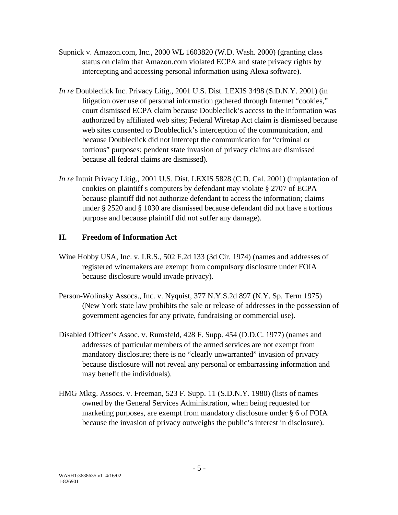- Supnick v. Amazon.com, Inc., 2000 WL 1603820 (W.D. Wash. 2000) (granting class status on claim that Amazon.com violated ECPA and state privacy rights by intercepting and accessing personal information using Alexa software).
- *In re* Doubleclick Inc. Privacy Litig., 2001 U.S. Dist. LEXIS 3498 (S.D.N.Y. 2001) (in litigation over use of personal information gathered through Internet "cookies," court dismissed ECPA claim because Doubleclick's access to the information was authorized by affiliated web sites; Federal Wiretap Act claim is dismissed because web sites consented to Doubleclick's interception of the communication, and because Doubleclick did not intercept the communication for "criminal or tortious" purposes; pendent state invasion of privacy claims are dismissed because all federal claims are dismissed).
- *In re* Intuit Privacy Litig., 2001 U.S. Dist. LEXIS 5828 (C.D. Cal. 2001) (implantation of cookies on plaintiff s computers by defendant may violate § 2707 of ECPA because plaintiff did not authorize defendant to access the information; claims under § 2520 and § 1030 are dismissed because defendant did not have a tortious purpose and because plaintiff did not suffer any damage).

#### **H. Freedom of Information Act**

- Wine Hobby USA, Inc. v. I.R.S., 502 F.2d 133 (3d Cir. 1974) (names and addresses of registered winemakers are exempt from compulsory disclosure under FOIA because disclosure would invade privacy).
- Person-Wolinsky Assocs., Inc. v. Nyquist, 377 N.Y.S.2d 897 (N.Y. Sp. Term 1975) (New York state law prohibits the sale or release of addresses in the possession of government agencies for any private, fundraising or commercial use).
- Disabled Officer's Assoc. v. Rumsfeld, 428 F. Supp. 454 (D.D.C. 1977) (names and addresses of particular members of the armed services are not exempt from mandatory disclosure; there is no "clearly unwarranted" invasion of privacy because disclosure will not reveal any personal or embarrassing information and may benefit the individuals).
- HMG Mktg. Assocs. v. Freeman, 523 F. Supp. 11 (S.D.N.Y. 1980) (lists of names owned by the General Services Administration, when being requested for marketing purposes, are exempt from mandatory disclosure under § 6 of FOIA because the invasion of privacy outweighs the public's interest in disclosure).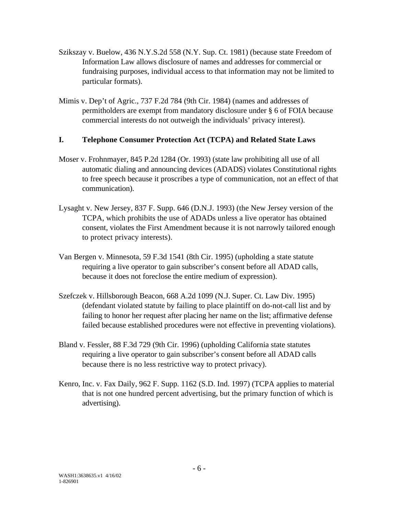- Szikszay v. Buelow, 436 N.Y.S.2d 558 (N.Y. Sup. Ct. 1981) (because state Freedom of Information Law allows disclosure of names and addresses for commercial or fundraising purposes, individual access to that information may not be limited to particular formats).
- Mimis v. Dep't of Agric., 737 F.2d 784 (9th Cir. 1984) (names and addresses of permitholders are exempt from mandatory disclosure under § 6 of FOIA because commercial interests do not outweigh the individuals' privacy interest).

#### **I. Telephone Consumer Protection Act (TCPA) and Related State Laws**

- Moser v. Frohnmayer, 845 P.2d 1284 (Or. 1993) (state law prohibiting all use of all automatic dialing and announcing devices (ADADS) violates Constitutional rights to free speech because it proscribes a type of communication, not an effect of that communication).
- Lysaght v. New Jersey, 837 F. Supp. 646 (D.N.J. 1993) (the New Jersey version of the TCPA, which prohibits the use of ADADs unless a live operator has obtained consent, violates the First Amendment because it is not narrowly tailored enough to protect privacy interests).
- Van Bergen v. Minnesota, 59 F.3d 1541 (8th Cir. 1995) (upholding a state statute requiring a live operator to gain subscriber's consent before all ADAD calls, because it does not foreclose the entire medium of expression).
- Szefczek v. Hillsborough Beacon, 668 A.2d 1099 (N.J. Super. Ct. Law Div. 1995) (defendant violated statute by failing to place plaintiff on do-not-call list and by failing to honor her request after placing her name on the list; affirmative defense failed because established procedures were not effective in preventing violations).
- Bland v. Fessler, 88 F.3d 729 (9th Cir. 1996) (upholding California state statutes requiring a live operator to gain subscriber's consent before all ADAD calls because there is no less restrictive way to protect privacy).
- Kenro, Inc. v. Fax Daily, 962 F. Supp. 1162 (S.D. Ind. 1997) (TCPA applies to material that is not one hundred percent advertising, but the primary function of which is advertising).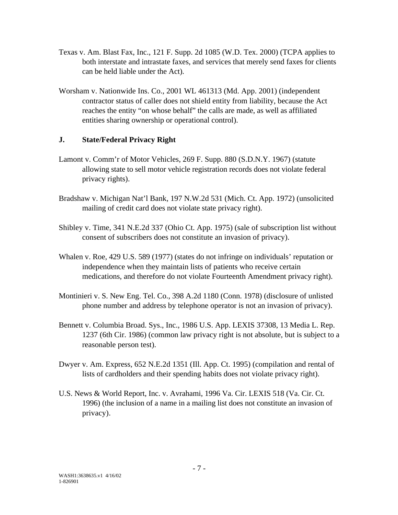- Texas v. Am. Blast Fax, Inc., 121 F. Supp. 2d 1085 (W.D. Tex. 2000) (TCPA applies to both interstate and intrastate faxes, and services that merely send faxes for clients can be held liable under the Act).
- Worsham v. Nationwide Ins. Co., 2001 WL 461313 (Md. App. 2001) (independent contractor status of caller does not shield entity from liability, because the Act reaches the entity "on whose behalf" the calls are made, as well as affiliated entities sharing ownership or operational control).

#### **J. State/Federal Privacy Right**

- Lamont v. Comm'r of Motor Vehicles, 269 F. Supp. 880 (S.D.N.Y. 1967) (statute allowing state to sell motor vehicle registration records does not violate federal privacy rights).
- Bradshaw v. Michigan Nat'l Bank, 197 N.W.2d 531 (Mich. Ct. App. 1972) (unsolicited mailing of credit card does not violate state privacy right).
- Shibley v. Time, 341 N.E.2d 337 (Ohio Ct. App. 1975) (sale of subscription list without consent of subscribers does not constitute an invasion of privacy).
- Whalen v. Roe, 429 U.S. 589 (1977) (states do not infringe on individuals' reputation or independence when they maintain lists of patients who receive certain medications, and therefore do not violate Fourteenth Amendment privacy right).
- Montinieri v. S. New Eng. Tel. Co., 398 A.2d 1180 (Conn. 1978) (disclosure of unlisted phone number and address by telephone operator is not an invasion of privacy).
- Bennett v. Columbia Broad. Sys., Inc., 1986 U.S. App. LEXIS 37308, 13 Media L. Rep. 1237 (6th Cir. 1986) (common law privacy right is not absolute, but is subject to a reasonable person test).
- Dwyer v. Am. Express, 652 N.E.2d 1351 (Ill. App. Ct. 1995) (compilation and rental of lists of cardholders and their spending habits does not violate privacy right).
- U.S. News & World Report, Inc. v. Avrahami, 1996 Va. Cir. LEXIS 518 (Va. Cir. Ct. 1996) (the inclusion of a name in a mailing list does not constitute an invasion of privacy).